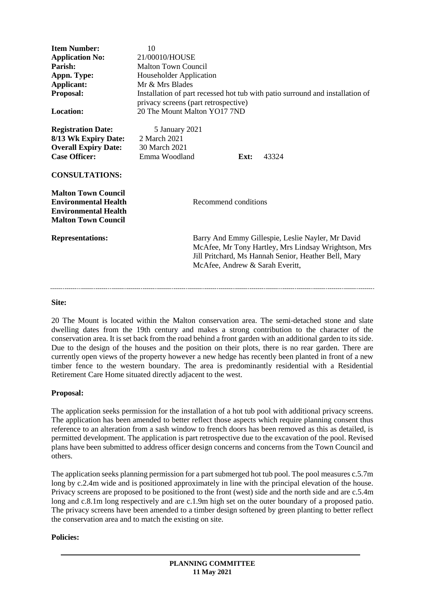| <b>Item Number:</b><br><b>Application No:</b><br>Parish:<br>Appn. Type:<br>Applicant:<br>Proposal:<br><b>Location:</b>            | 10<br>21/00010/HOUSE<br><b>Malton Town Council</b><br>Householder Application<br>Mr & Mrs Blades<br>Installation of part recessed hot tub with patio surround and installation of<br>privacy screens (part retrospective)<br>20 The Mount Malton YO17 7ND |
|-----------------------------------------------------------------------------------------------------------------------------------|-----------------------------------------------------------------------------------------------------------------------------------------------------------------------------------------------------------------------------------------------------------|
| <b>Registration Date:</b><br>8/13 Wk Expiry Date:<br><b>Overall Expiry Date:</b><br><b>Case Officer:</b><br><b>CONSULTATIONS:</b> | 5 January 2021<br>2 March 2021<br>30 March 2021<br>Emma Woodland<br>43324<br>Ext:                                                                                                                                                                         |
| <b>Malton Town Council</b><br><b>Environmental Health</b><br><b>Environmental Health</b><br><b>Malton Town Council</b>            | Recommend conditions                                                                                                                                                                                                                                      |
| <b>Representations:</b>                                                                                                           | Barry And Emmy Gillespie, Leslie Nayler, Mr David<br>McAfee, Mr Tony Hartley, Mrs Lindsay Wrightson, Mrs<br>Jill Pritchard, Ms Hannah Senior, Heather Bell, Mary<br>McAfee, Andrew & Sarah Everitt,                                                       |

# **Site:**

20 The Mount is located within the Malton conservation area. The semi-detached stone and slate dwelling dates from the 19th century and makes a strong contribution to the character of the conservation area. It is set back from the road behind a front garden with an additional garden to its side. Due to the design of the houses and the position on their plots, there is no rear garden. There are currently open views of the property however a new hedge has recently been planted in front of a new timber fence to the western boundary. The area is predominantly residential with a Residential Retirement Care Home situated directly adjacent to the west.

### **Proposal:**

The application seeks permission for the installation of a hot tub pool with additional privacy screens. The application has been amended to better reflect those aspects which require planning consent thus reference to an alteration from a sash window to french doors has been removed as this as detailed, is permitted development. The application is part retrospective due to the excavation of the pool. Revised plans have been submitted to address officer design concerns and concerns from the Town Council and others.

The application seeks planning permission for a part submerged hot tub pool. The pool measures c.5.7m long by c.2.4m wide and is positioned approximately in line with the principal elevation of the house. Privacy screens are proposed to be positioned to the front (west) side and the north side and are c.5.4m long and c.8.1m long respectively and are c.1.9m high set on the outer boundary of a proposed patio. The privacy screens have been amended to a timber design softened by green planting to better reflect the conservation area and to match the existing on site.

## **Policies:**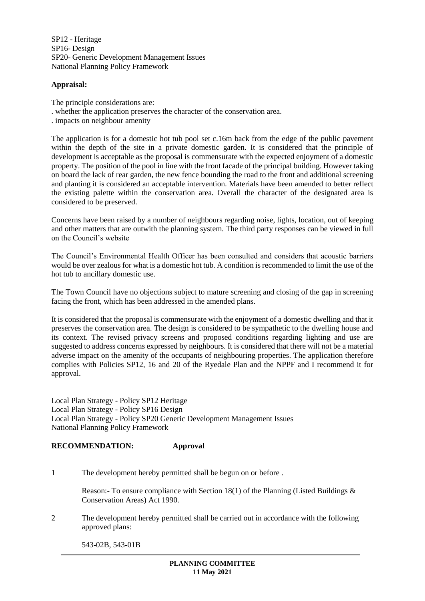SP12 - Heritage SP16- Design SP20- Generic Development Management Issues National Planning Policy Framework

## **Appraisal:**

The principle considerations are:

- . whether the application preserves the character of the conservation area.
- . impacts on neighbour amenity

The application is for a domestic hot tub pool set c.16m back from the edge of the public pavement within the depth of the site in a private domestic garden. It is considered that the principle of development is acceptable as the proposal is commensurate with the expected enjoyment of a domestic property. The position of the pool in line with the front facade of the principal building. However taking on board the lack of rear garden, the new fence bounding the road to the front and additional screening and planting it is considered an acceptable intervention. Materials have been amended to better reflect the existing palette within the conservation area. Overall the character of the designated area is considered to be preserved.

Concerns have been raised by a number of neighbours regarding noise, lights, location, out of keeping and other matters that are outwith the planning system. The third party responses can be viewed in full on the Council's website

The Council's Environmental Health Officer has been consulted and considers that acoustic barriers would be over zealous for what is a domestic hot tub. A condition is recommended to limit the use of the hot tub to ancillary domestic use.

The Town Council have no objections subject to mature screening and closing of the gap in screening facing the front, which has been addressed in the amended plans.

It is considered that the proposal is commensurate with the enjoyment of a domestic dwelling and that it preserves the conservation area. The design is considered to be sympathetic to the dwelling house and its context. The revised privacy screens and proposed conditions regarding lighting and use are suggested to address concerns expressed by neighbours. It is considered that there will not be a material adverse impact on the amenity of the occupants of neighbouring properties. The application therefore complies with Policies SP12, 16 and 20 of the Ryedale Plan and the NPPF and I recommend it for approval.

Local Plan Strategy - Policy SP12 Heritage Local Plan Strategy - Policy SP16 Design Local Plan Strategy - Policy SP20 Generic Development Management Issues National Planning Policy Framework

## **RECOMMENDATION: Approval**

1 The development hereby permitted shall be begun on or before .

Reason:- To ensure compliance with Section 18(1) of the Planning (Listed Buildings  $\&$ Conservation Areas) Act 1990.

2 The development hereby permitted shall be carried out in accordance with the following approved plans:

543-02B, 543-01B